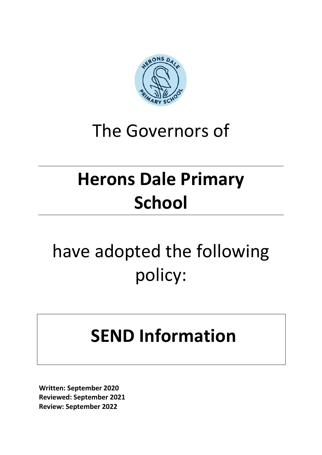

#### The Governors of

## **Herons Dale Primary School**

# have adopted the following policy:

### **SEND Information**

**Written: September 2020 Reviewed: September 2021 Review: September 2022**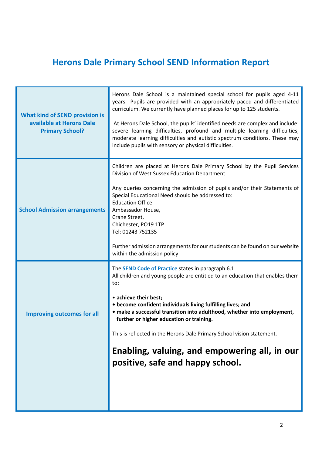#### **Herons Dale Primary School SEND Information Report**

| <b>What kind of SEND provision is</b><br>available at Herons Dale<br><b>Primary School?</b> | Herons Dale School is a maintained special school for pupils aged 4-11<br>years. Pupils are provided with an appropriately paced and differentiated<br>curriculum. We currently have planned places for up to 125 students.<br>At Herons Dale School, the pupils' identified needs are complex and include:<br>severe learning difficulties, profound and multiple learning difficulties,<br>moderate learning difficulties and autistic spectrum conditions. These may<br>include pupils with sensory or physical difficulties. |
|---------------------------------------------------------------------------------------------|----------------------------------------------------------------------------------------------------------------------------------------------------------------------------------------------------------------------------------------------------------------------------------------------------------------------------------------------------------------------------------------------------------------------------------------------------------------------------------------------------------------------------------|
| <b>School Admission arrangements</b>                                                        | Children are placed at Herons Dale Primary School by the Pupil Services<br>Division of West Sussex Education Department.<br>Any queries concerning the admission of pupils and/or their Statements of<br>Special Educational Need should be addressed to:<br><b>Education Office</b><br>Ambassador House,<br>Crane Street,<br>Chichester, PO19 1TP<br>Tel: 01243 752135<br>Further admission arrangements for our students can be found on our website<br>within the admission policy                                            |
| <b>Improving outcomes for all</b>                                                           | The <b>SEND Code of Practice</b> states in paragraph 6.1<br>All children and young people are entitled to an education that enables them<br>to:<br>• achieve their best;<br>• become confident individuals living fulfilling lives; and<br>· make a successful transition into adulthood, whether into employment,<br>further or higher education or training.<br>This is reflected in the Herons Dale Primary School vision statement.<br>Enabling, valuing, and empowering all, in our<br>positive, safe and happy school.     |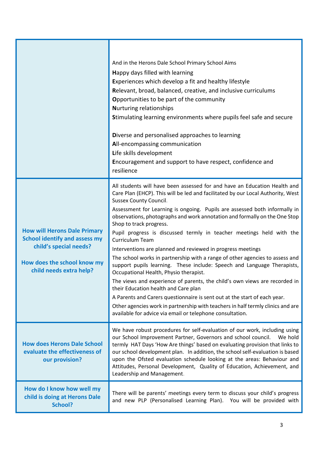|                                                                                                                                                                 | And in the Herons Dale School Primary School Aims<br>Happy days filled with learning<br>Experiences which develop a fit and healthy lifestyle<br>Relevant, broad, balanced, creative, and inclusive curriculums<br>Opportunities to be part of the community<br><b>Nurturing relationships</b><br>Stimulating learning environments where pupils feel safe and secure<br>Diverse and personalised approaches to learning<br>All-encompassing communication<br>Life skills development<br>Encouragement and support to have respect, confidence and<br>resilience                                                                                                                                                                                                                                                                                                                                                                                                                                                                                                                                       |
|-----------------------------------------------------------------------------------------------------------------------------------------------------------------|--------------------------------------------------------------------------------------------------------------------------------------------------------------------------------------------------------------------------------------------------------------------------------------------------------------------------------------------------------------------------------------------------------------------------------------------------------------------------------------------------------------------------------------------------------------------------------------------------------------------------------------------------------------------------------------------------------------------------------------------------------------------------------------------------------------------------------------------------------------------------------------------------------------------------------------------------------------------------------------------------------------------------------------------------------------------------------------------------------|
| <b>How will Herons Dale Primary</b><br><b>School identify and assess my</b><br>child's special needs?<br>How does the school know my<br>child needs extra help? | All students will have been assessed for and have an Education Health and<br>Care Plan (EHCP). This will be led and facilitated by our Local Authority, West<br><b>Sussex County Council.</b><br>Assessment for Learning is ongoing. Pupils are assessed both informally in<br>observations, photographs and work annotation and formally on the One Stop<br>Shop to track progress.<br>Pupil progress is discussed termly in teacher meetings held with the<br>Curriculum Team<br>Interventions are planned and reviewed in progress meetings<br>The school works in partnership with a range of other agencies to assess and<br>support pupils learning. These include: Speech and Language Therapists,<br>Occupational Health, Physio therapist.<br>The views and experience of parents, the child's own views are recorded in<br>their Education health and Care plan<br>A Parents and Carers questionnaire is sent out at the start of each year.<br>Other agencies work in partnership with teachers in half termly clinics and are<br>available for advice via email or telephone consultation. |
| <b>How does Herons Dale School</b><br>evaluate the effectiveness of<br>our provision?                                                                           | We have robust procedures for self-evaluation of our work, including using<br>our School Improvement Partner, Governors and school council.<br>We hold<br>termly HAT Days 'How Are things' based on evaluating provision that links to<br>our school development plan. In addition, the school self-evaluation is based<br>upon the Ofsted evaluation schedule looking at the areas: Behaviour and<br>Attitudes, Personal Development, Quality of Education, Achievement, and<br>Leadership and Management.                                                                                                                                                                                                                                                                                                                                                                                                                                                                                                                                                                                            |
| How do I know how well my<br>child is doing at Herons Dale<br>School?                                                                                           | There will be parents' meetings every term to discuss your child's progress<br>and new PLP (Personalised Learning Plan). You will be provided with                                                                                                                                                                                                                                                                                                                                                                                                                                                                                                                                                                                                                                                                                                                                                                                                                                                                                                                                                     |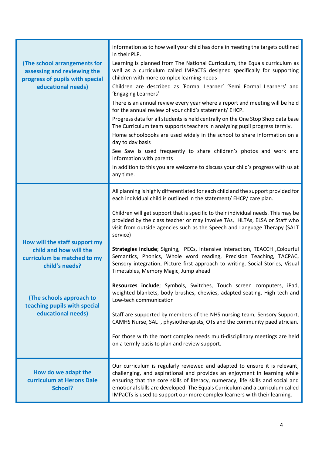| <b>(The school arrangements for</b><br>assessing and reviewing the<br>progress of pupils with special<br>educational needs) | information as to how well your child has done in meeting the targets outlined<br>in their PLP.<br>Learning is planned from The National Curriculum, the Equals curriculum as<br>well as a curriculum called IMPaCTS designed specifically for supporting<br>children with more complex learning needs<br>Children are described as 'Formal Learner' 'Semi Formal Learners' and<br>'Engaging Learners'<br>There is an annual review every year where a report and meeting will be held<br>for the annual review of your child's statement/ EHCP.<br>Progress data for all students is held centrally on the One Stop Shop data base<br>The Curriculum team supports teachers in analysing pupil progress termly.<br>Home schoolbooks are used widely in the school to share information on a<br>day to day basis<br>See Saw is used frequently to share children's photos and work and<br>information with parents<br>In addition to this you are welcome to discuss your child's progress with us at<br>any time. |
|-----------------------------------------------------------------------------------------------------------------------------|--------------------------------------------------------------------------------------------------------------------------------------------------------------------------------------------------------------------------------------------------------------------------------------------------------------------------------------------------------------------------------------------------------------------------------------------------------------------------------------------------------------------------------------------------------------------------------------------------------------------------------------------------------------------------------------------------------------------------------------------------------------------------------------------------------------------------------------------------------------------------------------------------------------------------------------------------------------------------------------------------------------------|
|                                                                                                                             | All planning is highly differentiated for each child and the support provided for                                                                                                                                                                                                                                                                                                                                                                                                                                                                                                                                                                                                                                                                                                                                                                                                                                                                                                                                  |
|                                                                                                                             | each individual child is outlined in the statement/ EHCP/ care plan.<br>Children will get support that is specific to their individual needs. This may be                                                                                                                                                                                                                                                                                                                                                                                                                                                                                                                                                                                                                                                                                                                                                                                                                                                          |
|                                                                                                                             | provided by the class teacher or may involve TAs, HLTAs, ELSA or Staff who<br>visit from outside agencies such as the Speech and Language Therapy (SALT<br>service)                                                                                                                                                                                                                                                                                                                                                                                                                                                                                                                                                                                                                                                                                                                                                                                                                                                |
| How will the staff support my<br>child and how will the<br>curriculum be matched to my<br>child's needs?                    | Strategies include; Signing, PECs, Intensive Interaction, TEACCH, Colourful<br>Semantics, Phonics, Whole word reading, Precision Teaching, TACPAC,<br>Sensory integration, Picture first approach to writing, Social Stories, Visual<br>Timetables, Memory Magic, Jump ahead                                                                                                                                                                                                                                                                                                                                                                                                                                                                                                                                                                                                                                                                                                                                       |
| (The schools approach to<br>teaching pupils with special<br>educational needs)                                              | Resources include; Symbols, Switches, Touch screen computers, iPad,<br>weighted blankets, body brushes, chewies, adapted seating, High tech and<br>Low-tech communication                                                                                                                                                                                                                                                                                                                                                                                                                                                                                                                                                                                                                                                                                                                                                                                                                                          |
|                                                                                                                             | Staff are supported by members of the NHS nursing team, Sensory Support,<br>CAMHS Nurse, SALT, physiotherapists, OTs and the community paediatrician.                                                                                                                                                                                                                                                                                                                                                                                                                                                                                                                                                                                                                                                                                                                                                                                                                                                              |
|                                                                                                                             | For those with the most complex needs multi-disciplinary meetings are held<br>on a termly basis to plan and review support.                                                                                                                                                                                                                                                                                                                                                                                                                                                                                                                                                                                                                                                                                                                                                                                                                                                                                        |
| How do we adapt the<br>curriculum at Herons Dale<br>School?                                                                 | Our curriculum is regularly reviewed and adapted to ensure it is relevant,<br>challenging, and aspirational and provides an enjoyment in learning while<br>ensuring that the core skills of literacy, numeracy, life skills and social and<br>emotional skills are developed. The Equals Curriculum and a curriculum called<br>IMPaCTs is used to support our more complex learners with their learning.                                                                                                                                                                                                                                                                                                                                                                                                                                                                                                                                                                                                           |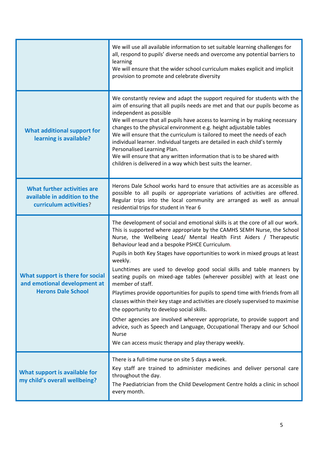|                                                                                               | We will use all available information to set suitable learning challenges for<br>all, respond to pupils' diverse needs and overcome any potential barriers to<br>learning<br>We will ensure that the wider school curriculum makes explicit and implicit<br>provision to promote and celebrate diversity                                                                                                                                                                                                                                                                                                                                                                                                                                                                                                                                                                                                                                                                                                    |
|-----------------------------------------------------------------------------------------------|-------------------------------------------------------------------------------------------------------------------------------------------------------------------------------------------------------------------------------------------------------------------------------------------------------------------------------------------------------------------------------------------------------------------------------------------------------------------------------------------------------------------------------------------------------------------------------------------------------------------------------------------------------------------------------------------------------------------------------------------------------------------------------------------------------------------------------------------------------------------------------------------------------------------------------------------------------------------------------------------------------------|
| <b>What additional support for</b><br>learning is available?                                  | We constantly review and adapt the support required for students with the<br>aim of ensuring that all pupils needs are met and that our pupils become as<br>independent as possible<br>We will ensure that all pupils have access to learning in by making necessary<br>changes to the physical environment e.g. height adjustable tables<br>We will ensure that the curriculum is tailored to meet the needs of each<br>individual learner. Individual targets are detailed in each child's termly<br>Personalised Learning Plan.<br>We will ensure that any written information that is to be shared with<br>children is delivered in a way which best suits the learner.                                                                                                                                                                                                                                                                                                                                 |
| <b>What further activities are</b><br>available in addition to the<br>curriculum activities?  | Herons Dale School works hard to ensure that activities are as accessible as<br>possible to all pupils or appropriate variations of activities are offered.<br>Regular trips into the local community are arranged as well as annual<br>residential trips for student in Year 6                                                                                                                                                                                                                                                                                                                                                                                                                                                                                                                                                                                                                                                                                                                             |
| What support is there for social<br>and emotional development at<br><b>Herons Dale School</b> | The development of social and emotional skills is at the core of all our work.<br>This is supported where appropriate by the CAMHS SEMH Nurse, the School<br>Nurse, the Wellbeing Lead/ Mental Health First Aiders / Therapeutic<br>Behaviour lead and a bespoke PSHCE Curriculum.<br>Pupils in both Key Stages have opportunities to work in mixed groups at least<br>weekly.<br>Lunchtimes are used to develop good social skills and table manners by<br>seating pupils on mixed-age tables (wherever possible) with at least one<br>member of staff.<br>Playtimes provide opportunities for pupils to spend time with friends from all<br>classes within their key stage and activities are closely supervised to maximise<br>the opportunity to develop social skills.<br>Other agencies are involved wherever appropriate, to provide support and<br>advice, such as Speech and Language, Occupational Therapy and our School<br><b>Nurse</b><br>We can access music therapy and play therapy weekly. |
| What support is available for<br>my child's overall wellbeing?                                | There is a full-time nurse on site 5 days a week.<br>Key staff are trained to administer medicines and deliver personal care<br>throughout the day.<br>The Paediatrician from the Child Development Centre holds a clinic in school<br>every month.                                                                                                                                                                                                                                                                                                                                                                                                                                                                                                                                                                                                                                                                                                                                                         |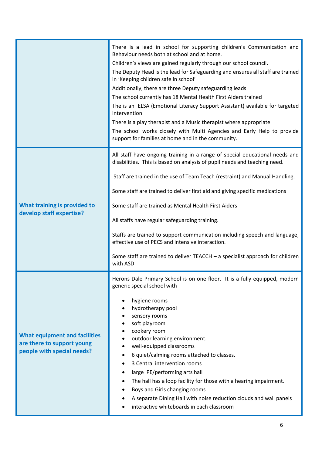|                                                                                                  | There is a lead in school for supporting children's Communication and<br>Behaviour needs both at school and at home.<br>Children's views are gained regularly through our school council.<br>The Deputy Head is the lead for Safeguarding and ensures all staff are trained<br>in 'Keeping children safe in school'<br>Additionally, there are three Deputy safeguarding leads<br>The school currently has 18 Mental Health First Aiders trained<br>The is an ELSA (Emotional Literacy Support Assistant) available for targeted<br>intervention<br>There is a play therapist and a Music therapist where appropriate<br>The school works closely with Multi Agencies and Early Help to provide<br>support for families at home and in the community. |
|--------------------------------------------------------------------------------------------------|-------------------------------------------------------------------------------------------------------------------------------------------------------------------------------------------------------------------------------------------------------------------------------------------------------------------------------------------------------------------------------------------------------------------------------------------------------------------------------------------------------------------------------------------------------------------------------------------------------------------------------------------------------------------------------------------------------------------------------------------------------|
| What training is provided to<br>develop staff expertise?                                         | All staff have ongoing training in a range of special educational needs and<br>disabilities. This is based on analysis of pupil needs and teaching need.<br>Staff are trained in the use of Team Teach (restraint) and Manual Handling.<br>Some staff are trained to deliver first aid and giving specific medications<br>Some staff are trained as Mental Health First Aiders<br>All staffs have regular safeguarding training.<br>Staffs are trained to support communication including speech and language,<br>effective use of PECS and intensive interaction.<br>Some staff are trained to deliver $TEACCH - a$ specialist approach for children<br>with ASD                                                                                     |
| <b>What equipment and facilities</b><br>are there to support young<br>people with special needs? | Herons Dale Primary School is on one floor. It is a fully equipped, modern<br>generic special school with<br>hygiene rooms<br>hydrotherapy pool<br>sensory rooms<br>soft playroom<br>cookery room<br>outdoor learning environment.<br>well-equipped classrooms<br>6 quiet/calming rooms attached to classes.<br>3 Central intervention rooms<br>large PE/performing arts hall<br>The hall has a loop facility for those with a hearing impairment.<br>Boys and Girls changing rooms<br>A separate Dining Hall with noise reduction clouds and wall panels<br>interactive whiteboards in each classroom                                                                                                                                                |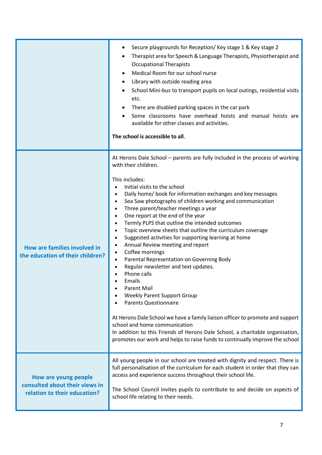|                                                                                        | Secure playgrounds for Reception/Key stage 1 & Key stage 2<br>Therapist area for Speech & Language Therapists, Physiotherapist and<br><b>Occupational Therapists</b><br>Medical Room for our school nurse<br>Library with outside reading area<br>$\bullet$<br>School Mini-bus to transport pupils on local outings, residential visits<br>etc.<br>There are disabled parking spaces in the car park<br>Some classrooms have overhead hoists and manual hoists are<br>available for other classes and activities.<br>The school is accessible to all.                                                                                                                                                                                                                                                                                                                                                                                                                                                                                                                                                                                                                                               |
|----------------------------------------------------------------------------------------|-----------------------------------------------------------------------------------------------------------------------------------------------------------------------------------------------------------------------------------------------------------------------------------------------------------------------------------------------------------------------------------------------------------------------------------------------------------------------------------------------------------------------------------------------------------------------------------------------------------------------------------------------------------------------------------------------------------------------------------------------------------------------------------------------------------------------------------------------------------------------------------------------------------------------------------------------------------------------------------------------------------------------------------------------------------------------------------------------------------------------------------------------------------------------------------------------------|
| How are families involved in<br>the education of their children?                       | At Herons Dale School - parents are fully included in the process of working<br>with their children.<br>This includes:<br>Initial visits to the school<br>Daily home/ book for information exchanges and key messages<br>$\bullet$<br>Sea Saw photographs of children working and communication<br>$\bullet$<br>Three parent/teacher meetings a year<br>One report at the end of the year<br>Termly PLPS that outline the intended outcomes<br>$\bullet$<br>Topic overview sheets that outline the curriculum coverage<br>$\bullet$<br>Suggested activities for supporting learning at home<br>$\bullet$<br>Annual Review meeting and report<br>$\bullet$<br>Coffee mornings<br>$\bullet$<br>Parental Representation on Governing Body<br>$\bullet$<br>Regular newsletter and text updates.<br>Phone calls<br>Emails<br><b>Parent Mail</b><br><b>Weekly Parent Support Group</b><br><b>Parents Questionnaire</b><br>At Herons Dale School we have a family liaison officer to promote and support<br>school and home communication<br>In addition to this Friends of Herons Dale School, a charitable organisation,<br>promotes our work and helps to raise funds to continually improve the school |
| How are young people<br>consulted about their views in<br>relation to their education? | All young people in our school are treated with dignity and respect. There is<br>full personalisation of the curriculum for each student in order that they can<br>access and experience success throughout their school life.<br>The School Council invites pupils to contribute to and decide on aspects of<br>school life relating to their needs.                                                                                                                                                                                                                                                                                                                                                                                                                                                                                                                                                                                                                                                                                                                                                                                                                                               |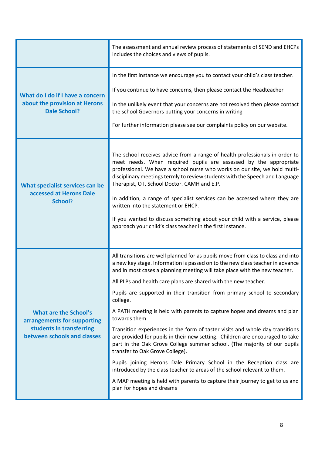|                                                                                                                        | The assessment and annual review process of statements of SEND and EHCPs<br>includes the choices and views of pupils.                                                                                                                                                                                                                                                                                                                                                                                                                                                                                                                                                                                                                                                                                                                                                                                                                                                                                                                                     |
|------------------------------------------------------------------------------------------------------------------------|-----------------------------------------------------------------------------------------------------------------------------------------------------------------------------------------------------------------------------------------------------------------------------------------------------------------------------------------------------------------------------------------------------------------------------------------------------------------------------------------------------------------------------------------------------------------------------------------------------------------------------------------------------------------------------------------------------------------------------------------------------------------------------------------------------------------------------------------------------------------------------------------------------------------------------------------------------------------------------------------------------------------------------------------------------------|
| What do I do if I have a concern<br>about the provision at Herons<br><b>Dale School?</b>                               | In the first instance we encourage you to contact your child's class teacher.<br>If you continue to have concerns, then please contact the Headteacher<br>In the unlikely event that your concerns are not resolved then please contact<br>the school Governors putting your concerns in writing<br>For further information please see our complaints policy on our website.                                                                                                                                                                                                                                                                                                                                                                                                                                                                                                                                                                                                                                                                              |
| What specialist services can be<br>accessed at Herons Dale<br>School?                                                  | The school receives advice from a range of health professionals in order to<br>meet needs. When required pupils are assessed by the appropriate<br>professional. We have a school nurse who works on our site, we hold multi-<br>disciplinary meetings termly to review students with the Speech and Language<br>Therapist, OT, School Doctor. CAMH and E.P.<br>In addition, a range of specialist services can be accessed where they are<br>written into the statement or EHCP.<br>If you wanted to discuss something about your child with a service, please<br>approach your child's class teacher in the first instance.                                                                                                                                                                                                                                                                                                                                                                                                                             |
| <b>What are the School's</b><br>arrangements for supporting<br>students in transferring<br>between schools and classes | All transitions are well planned for as pupils move from class to class and into<br>a new key stage. Information is passed on to the new class teacher in advance<br>and in most cases a planning meeting will take place with the new teacher.<br>All PLPs and health care plans are shared with the new teacher.<br>Pupils are supported in their transition from primary school to secondary<br>college.<br>A PATH meeting is held with parents to capture hopes and dreams and plan<br>towards them<br>Transition experiences in the form of taster visits and whole day transitions<br>are provided for pupils in their new setting. Children are encouraged to take<br>part in the Oak Grove College summer school. (The majority of our pupils<br>transfer to Oak Grove College).<br>Pupils joining Herons Dale Primary School in the Reception class are<br>introduced by the class teacher to areas of the school relevant to them.<br>A MAP meeting is held with parents to capture their journey to get to us and<br>plan for hopes and dreams |